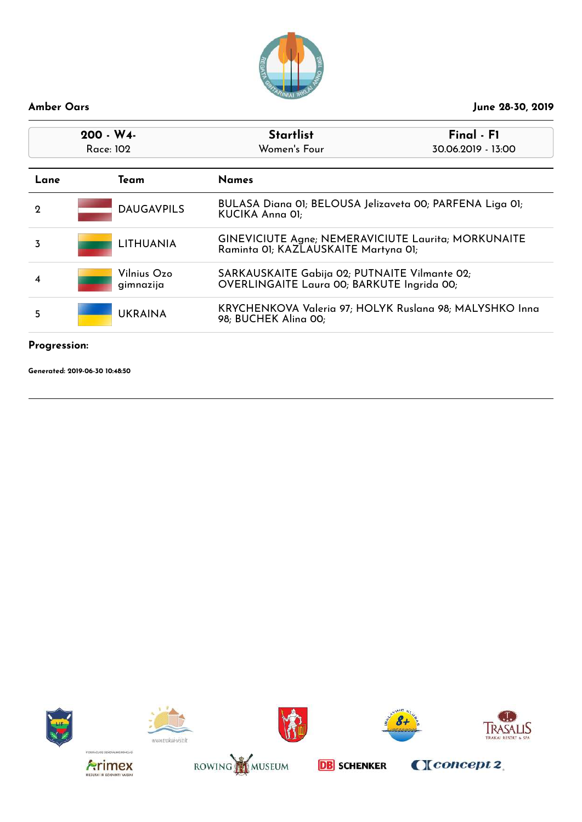

| $200 - W4$<br>Race: 102                                                                                |                          | <b>Startlist</b><br>Women's Four                                                                   | Final - F1<br>30.06.2019 - 13:00 |
|--------------------------------------------------------------------------------------------------------|--------------------------|----------------------------------------------------------------------------------------------------|----------------------------------|
| Lane                                                                                                   | <b>Names</b><br>Team     |                                                                                                    |                                  |
| $\mathbf 2$                                                                                            | <b>DAUGAVPILS</b>        | BULASA Diana 01; BELOUSA Jelizaveta 00; PARFENA Liga 01;<br>KUCIKA Anna OI;                        |                                  |
| 3                                                                                                      | <b>LITHUANIA</b>         | <b>GINEVICIUTE Agne; NEMERAVICIUTE Laurita; MORKUNAITE</b><br>Raminta OI; KAZLAUSKAITE Martyna OI; |                                  |
| 4                                                                                                      | Vilnius Ozo<br>gimnazija | SARKAUSKAITE Gabija 02; PUTNAITE Vilmante 02;<br>OVERLINGAITE Laura 00; BARKUTE Ingrida 00;        |                                  |
| KRYCHENKOVA Valeria 97; HOLYK Ruslana 98; MALYSHKO Inna<br><b>UKRAINA</b><br>5<br>98; BUCHEK Alina 00; |                          |                                                                                                    |                                  |
| Progression:                                                                                           |                          |                                                                                                    |                                  |















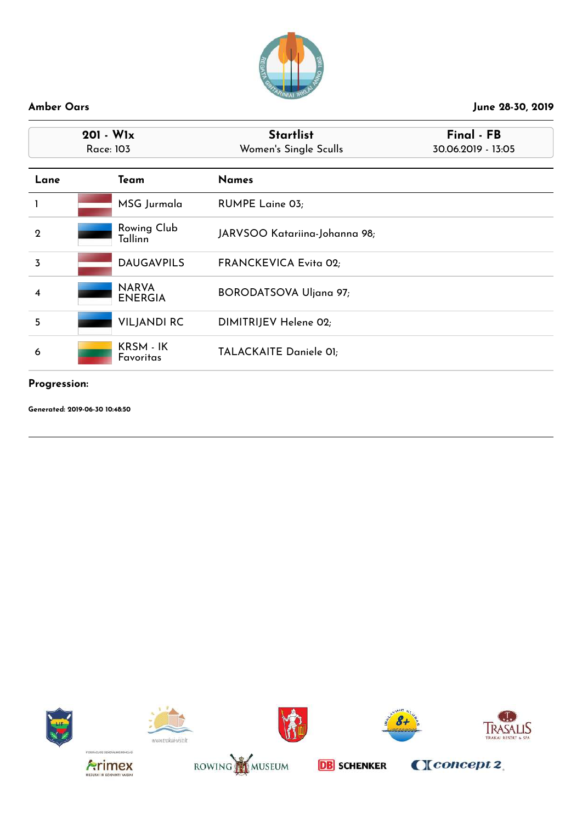

| $201 - W1x$<br>Race: 103 |                                | <b>Startlist</b><br>Women's Single Sculls | Final - FB<br>30.06.2019 - 13:05 |
|--------------------------|--------------------------------|-------------------------------------------|----------------------------------|
| Lane                     | Team                           | <b>Names</b>                              |                                  |
|                          | MSG Jurmala                    | RUMPE Laine 03;                           |                                  |
| $\mathbf{Q}$             | Rowing Club<br><b>Tallinn</b>  | JARVSOO Katariina-Johanna 98;             |                                  |
| $\overline{3}$           | <b>DAUGAVPILS</b>              | FRANCKEVICA Evita 02;                     |                                  |
| $\overline{\bf 4}$       | <b>NARVA</b><br><b>ENERGIA</b> | <b>BORODATSOVA Uljana 97;</b>             |                                  |
| 5                        | <b>VILJANDI RC</b>             | DIMITRIJEV Helene 02;                     |                                  |
| 6                        | KRSM - IK<br>Favoritas         | TALACKAITE Daniele 01;                    |                                  |

# **Progression:**

















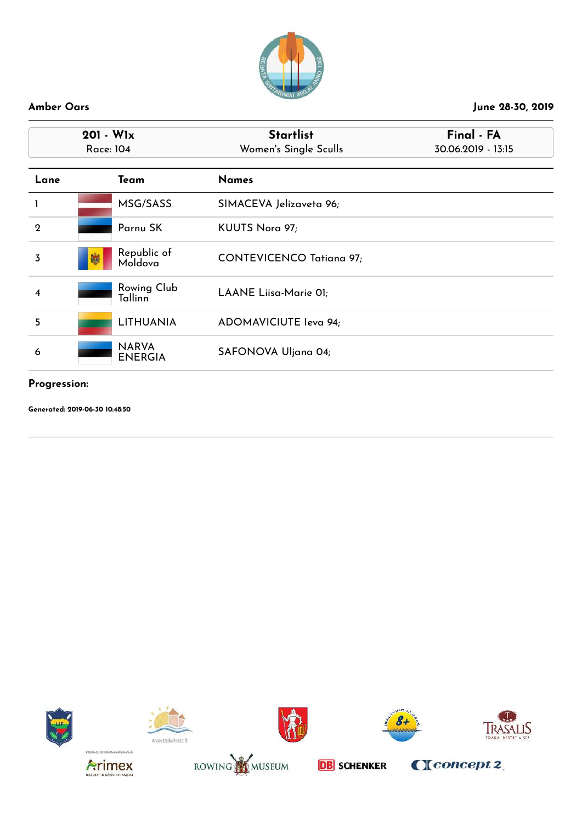

| $201 - W1x$<br>Race: 104 |                                | <b>Startlist</b><br>Women's Single Sculls | Final - FA<br>30.06.2019 - 13:15 |
|--------------------------|--------------------------------|-------------------------------------------|----------------------------------|
| Lane                     | Team                           | <b>Names</b>                              |                                  |
| 1                        | MSG/SASS                       | SIMACEVA Jelizaveta 96;                   |                                  |
| $\boldsymbol{2}$         | Parnu SK                       | KUUTS Nora 97;                            |                                  |
| 3                        | Republic of<br>Moldova         | <b>CONTEVICENCO Tatiana 97;</b>           |                                  |
| $\overline{\mathbf{4}}$  | Rowing Club<br><b>Tallinn</b>  | LAANE Liisa-Marie 01;                     |                                  |
| 5                        | <b>LITHUANIA</b>               | ADOMAVICIUTE leva 94;                     |                                  |
| 6                        | <b>NARVA</b><br><b>ENERGIA</b> | SAFONOVA Uljana 04;                       |                                  |

# **Progression:**

















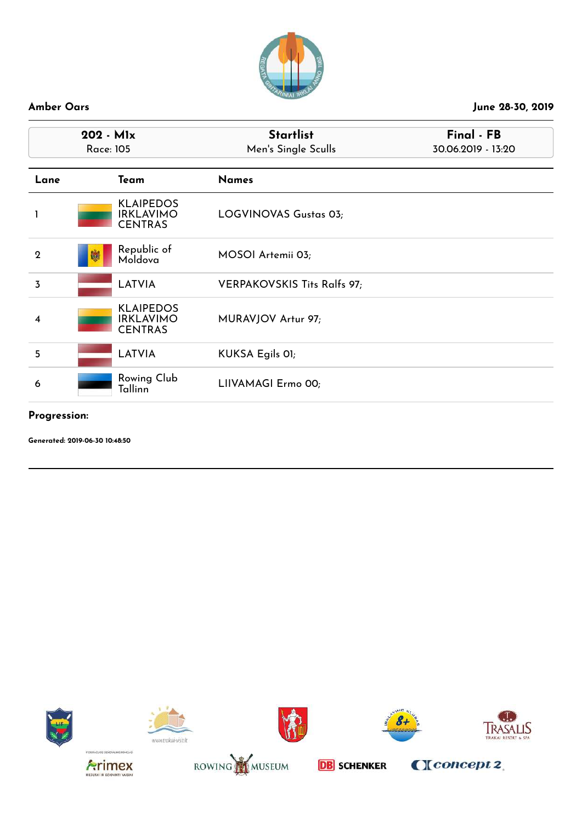

| 202 - Mlx<br><b>Race: 105</b> |                                                        | <b>Startlist</b><br>Men's Single Sculls | Final - FB<br>30.06.2019 - 13:20 |  |
|-------------------------------|--------------------------------------------------------|-----------------------------------------|----------------------------------|--|
| Lane                          | <b>Team</b>                                            | <b>Names</b>                            |                                  |  |
|                               | <b>KLAIPEDOS</b><br><b>IRKLAVIMO</b><br><b>CENTRAS</b> | LOGVINOVAS Gustas 03;                   |                                  |  |
| $\boldsymbol{2}$              | Republic of<br>Moldova                                 | MOSOI Artemii 03;                       |                                  |  |
| 3                             | <b>LATVIA</b>                                          | VERPAKOVSKIS Tits Ralfs 97;             |                                  |  |
| 4                             | <b>KLAIPEDOS</b><br><b>IRKLAVIMO</b><br><b>CENTRAS</b> | MURAVJOV Artur 97;                      |                                  |  |
| 5                             | <b>LATVIA</b>                                          | KUKSA Egils OI;                         |                                  |  |
| 6                             | <b>Rowing Club</b><br>Tallinn                          | LIIVAMAGI Ermo 00;                      |                                  |  |

# **Progression:**

**Generated: 2019-06-30 10:48:50**













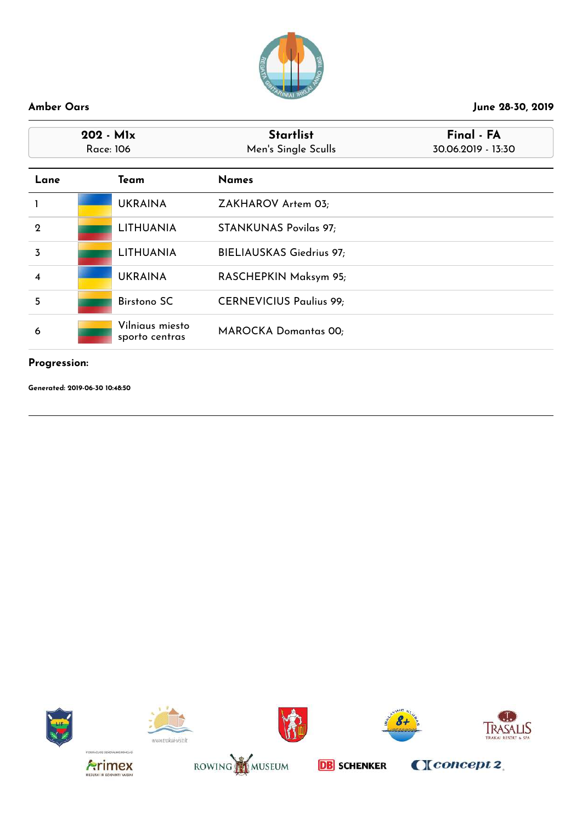

| $202 - Mlx$<br>Race: 106 |  |                                   | <b>Startlist</b><br>Final - FA<br>Men's Single Sculls<br>30.06.2019 - 13:30 |  |
|--------------------------|--|-----------------------------------|-----------------------------------------------------------------------------|--|
| Lane                     |  | Team                              | <b>Names</b>                                                                |  |
|                          |  | <b>UKRAINA</b>                    | ZAKHAROV Artem 03;                                                          |  |
| $\mathbf 2$              |  | <b>LITHUANIA</b>                  | <b>STANKUNAS Povilas 97;</b>                                                |  |
| $\overline{3}$           |  | <b>LITHUANIA</b>                  | <b>BIELIAUSKAS Giedrius 97;</b>                                             |  |
| $\overline{\mathbf{4}}$  |  | <b>UKRAINA</b>                    | RASCHEPKIN Maksym 95;                                                       |  |
| 5                        |  | <b>Birstono SC</b>                | <b>CERNEVICIUS Paulius 99;</b>                                              |  |
| 6                        |  | Vilniaus miesto<br>sporto centras | <b>MAROCKA Domantas 00;</b>                                                 |  |

### **Progression:**

















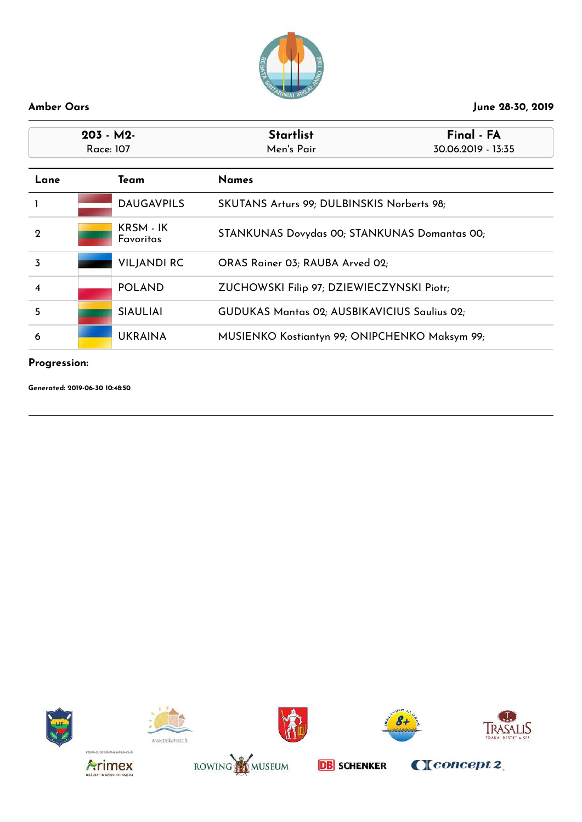

| $203 - M2$<br>Race: 107 |  |                        | Final - FA<br><b>Startlist</b><br>Men's Pair<br>30.06.2019 - 13:35 |  |
|-------------------------|--|------------------------|--------------------------------------------------------------------|--|
| Lane                    |  | Team                   | <b>Names</b>                                                       |  |
|                         |  | <b>DAUGAVPILS</b>      | SKUTANS Arturs 99; DULBINSKIS Norberts 98;                         |  |
| $\mathbf 2$             |  | KRSM - IK<br>Favoritas | STANKUNAS Dovydas 00; STANKUNAS Domantas 00;                       |  |
| 3                       |  | <b>VILJANDI RC</b>     | ORAS Rainer 03; RAUBA Arved 02;                                    |  |
| 4                       |  | <b>POLAND</b>          | ZUCHOWSKI Filip 97; DZIEWIECZYNSKI Piotr;                          |  |
| 5                       |  | <b>SIAULIAI</b>        | GUDUKAS Mantas 02; AUSBIKAVICIUS Saulius 02;                       |  |
| 6                       |  | <b>UKRAINA</b>         | MUSIENKO Kostiantyn 99; ONIPCHENKO Maksym 99;                      |  |

# **Progression:**

**Generated: 2019-06-30 10:48:50**













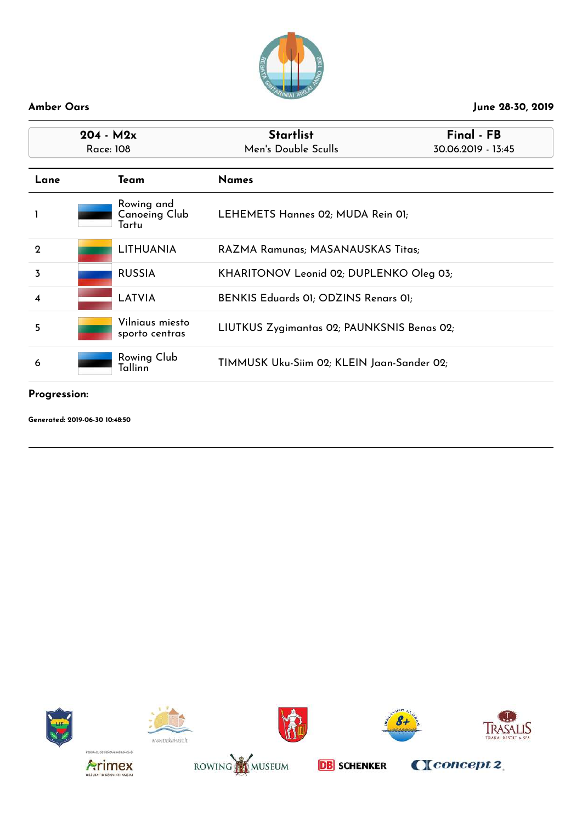

| $204 - M2x$<br>Race: 108 |  |                                             | <b>Startlist</b><br>Men's Double Sculls    | Final - FB<br>30.06.2019 - 13:45 |
|--------------------------|--|---------------------------------------------|--------------------------------------------|----------------------------------|
|                          |  |                                             |                                            |                                  |
| Lane                     |  | Team                                        | <b>Names</b>                               |                                  |
|                          |  | Rowing and<br><b>Canoeing Club</b><br>Tartu | LEHEMETS Hannes 02; MUDA Rein 01;          |                                  |
| $\mathbf 2$              |  | <b>LITHUANIA</b>                            | RAZMA Ramunas; MASANAUSKAS Titas;          |                                  |
| 3                        |  | <b>RUSSIA</b>                               | KHARITONOV Leonid 02; DUPLENKO Oleg 03;    |                                  |
| 4                        |  | <b>LATVIA</b>                               | BENKIS Eduards 01; ODZINS Renars 01;       |                                  |
| 5                        |  | Vilniaus miesto<br>sporto centras           | LIUTKUS Zygimantas 02; PAUNKSNIS Benas 02; |                                  |
| 6                        |  | Rowing Club<br>Tallinn                      | TIMMUSK Uku-Siim 02; KLEIN Jaan-Sander 02; |                                  |

# **Progression:**















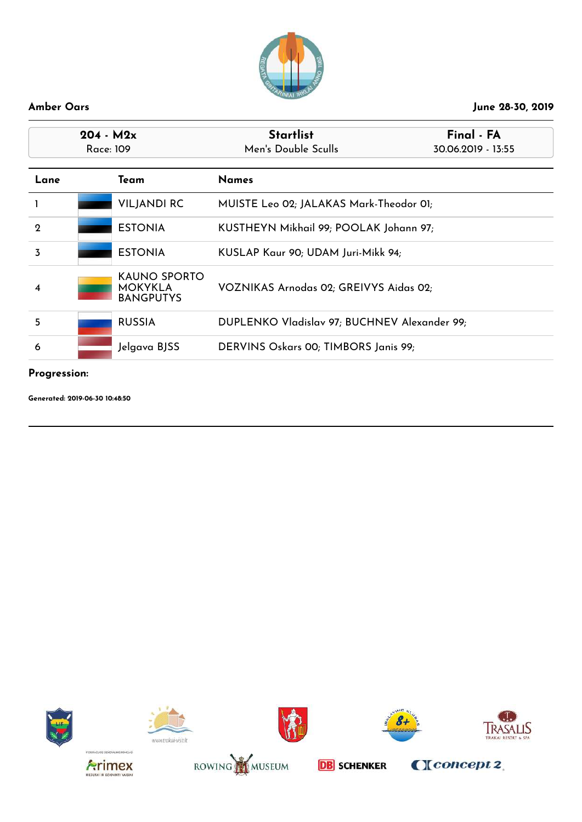

| $204 - M2x$<br>Race: 109 |  |                                                    | <b>Startlist</b><br>Final - FA<br>Men's Double Sculls<br>30.06.2019 - 13:55 |  |
|--------------------------|--|----------------------------------------------------|-----------------------------------------------------------------------------|--|
| Lane                     |  | Team                                               | <b>Names</b>                                                                |  |
|                          |  | <b>VILJANDI RC</b>                                 | MUISTE Leo 02; JALAKAS Mark-Theodor 01;                                     |  |
| $\mathbf{Q}$             |  | <b>ESTONIA</b>                                     | KUSTHEYN Mikhail 99; POOLAK Johann 97;                                      |  |
| 3                        |  | <b>ESTONIA</b>                                     | KUSLAP Kaur 90; UDAM Juri-Mikk 94;                                          |  |
| 4                        |  | KAUNO SPORTO<br><b>MOKYKLA</b><br><b>BANGPUTYS</b> | VOZNIKAS Arnodas 02; GREIVYS Aidas 02;                                      |  |
| 5                        |  | <b>RUSSIA</b>                                      | DUPLENKO Vladislav 97; BUCHNEV Alexander 99;                                |  |
| 6                        |  | Jelgava BJSS                                       | DERVINS Oskars 00; TIMBORS Janis 99;                                        |  |

### **Progression:**

















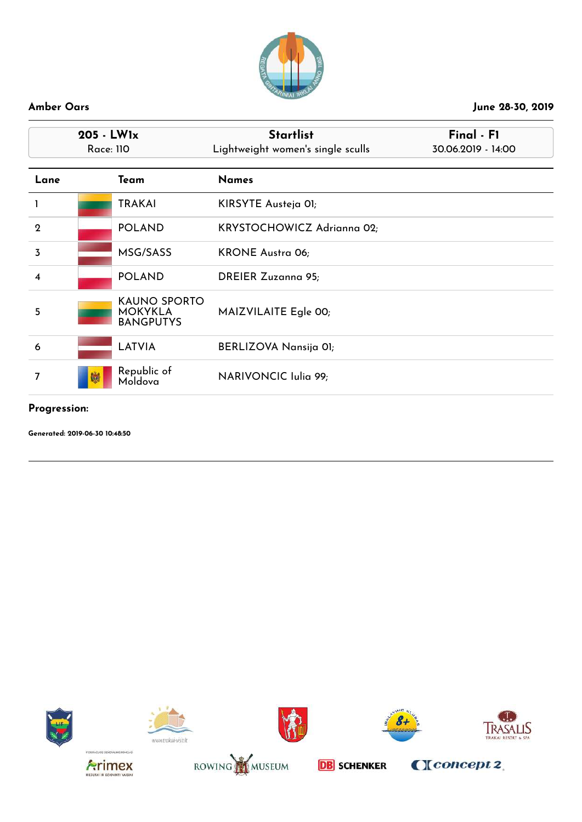

| $205 - LW1x$<br><b>Race: 110</b> |                                                           | <b>Startlist</b><br>Final - F1<br>Lightweight women's single sculls<br>30.06.2019 - 14:00 |  |
|----------------------------------|-----------------------------------------------------------|-------------------------------------------------------------------------------------------|--|
| Lane                             | Team                                                      | <b>Names</b>                                                                              |  |
|                                  | <b>TRAKAI</b>                                             | KIRSYTE Austeja OI;                                                                       |  |
| $\mathbf 2$                      | <b>POLAND</b>                                             | KRYSTOCHOWICZ Adrianna 02;                                                                |  |
| 3                                | MSG/SASS                                                  | <b>KRONE Austra 06;</b>                                                                   |  |
| $\overline{\mathbf{4}}$          | <b>POLAND</b>                                             | <b>DREIER Zuzanna 95;</b>                                                                 |  |
| 5                                | <b>KAUNO SPORTO</b><br><b>MOKYKLA</b><br><b>BANGPUTYS</b> | MAIZVILAITE Egle 00;                                                                      |  |
| 6                                | <b>LATVIA</b>                                             | BERLIZOVA Nansija 01;                                                                     |  |
| 7                                | Republic of<br>Moldova                                    | NARIVONCIC Iulia 99;                                                                      |  |

### **Progression:**

**Generated: 2019-06-30 10:48:50**









CI concept 2







**DB** SCHENKER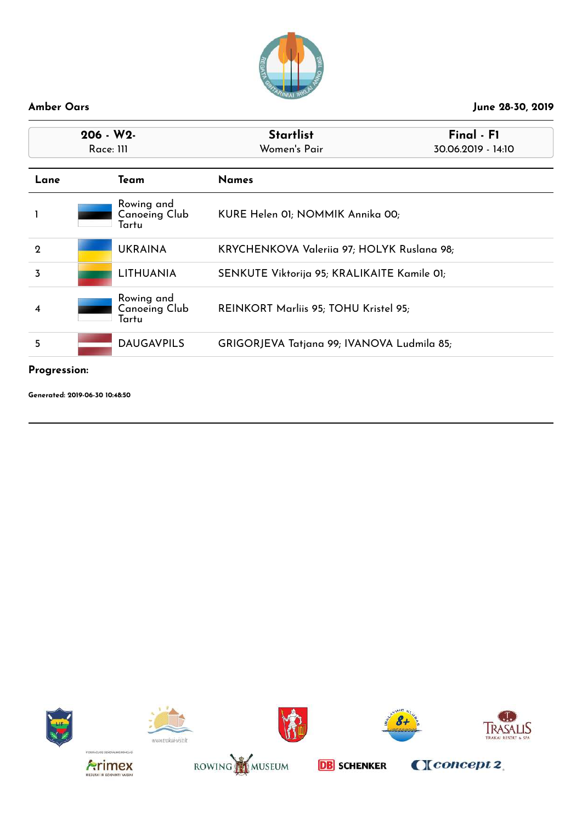

| $206 - W2$<br>Race: III                     | <b>Startlist</b><br>Women's Pair            | Final - F1<br>30.06.2019 - 14:10 |
|---------------------------------------------|---------------------------------------------|----------------------------------|
| Team                                        | <b>Names</b>                                |                                  |
| Rowing and<br><b>Canoeing Club</b><br>Tartu | KURE Helen 01; NOMMIK Annika 00;            |                                  |
| <b>UKRAINA</b>                              | KRYCHENKOVA Valeriia 97; HOLYK Ruslana 98;  |                                  |
| <b>LITHUANIA</b>                            | SENKUTE Viktorija 95; KRALIKAITE Kamile 01; |                                  |
| Rowing and<br><b>Canoeing Club</b><br>Tartu | REINKORT Marliis 95; TOHU Kristel 95;       |                                  |
| <b>DAUGAVPILS</b>                           | GRIGORJEVA Tatjana 99; IVANOVA Ludmila 85;  |                                  |
|                                             |                                             |                                  |

# **Progression:**

















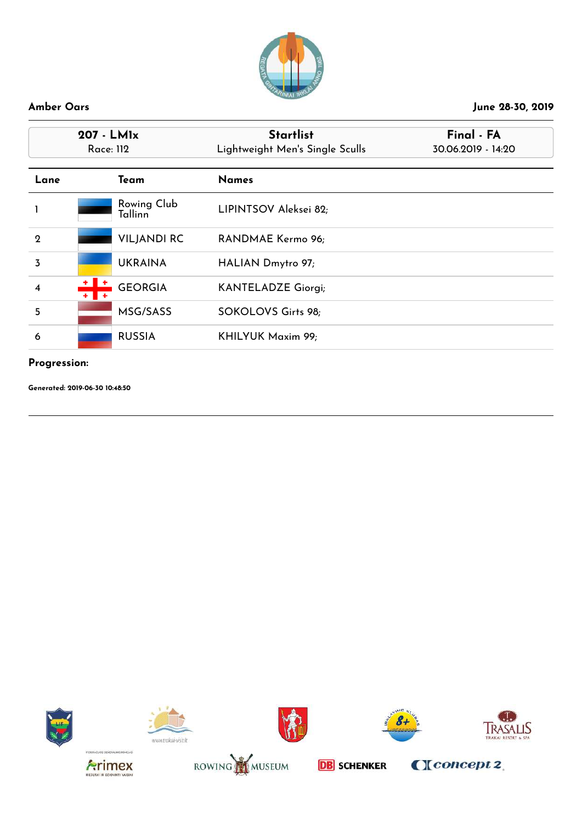

| 207 - LMIx              |                          | <b>Startlist</b>                | Final - FA         |
|-------------------------|--------------------------|---------------------------------|--------------------|
|                         | Race: 112                | Lightweight Men's Single Sculls | 30.06.2019 - 14:20 |
| Lane                    | Team                     | <b>Names</b>                    |                    |
|                         | Rowing Club<br>Tallinn   | LIPINTSOV Aleksei 82;           |                    |
| $\mathbf 2$             | <b>VILJANDI RC</b>       | RANDMAE Kermo 96;               |                    |
| $\overline{3}$          | <b>UKRAINA</b>           | HALIAN Dmytro 97;               |                    |
| $\overline{\mathbf{4}}$ | <b>GEORGIA</b><br>+    + | <b>KANTELADZE Giorgi;</b>       |                    |
| 5                       | MSG/SASS                 | SOKOLOVS Girts 98;              |                    |
| 6                       | <b>RUSSIA</b>            | KHILYUK Maxim 99;               |                    |

### **Progression:**















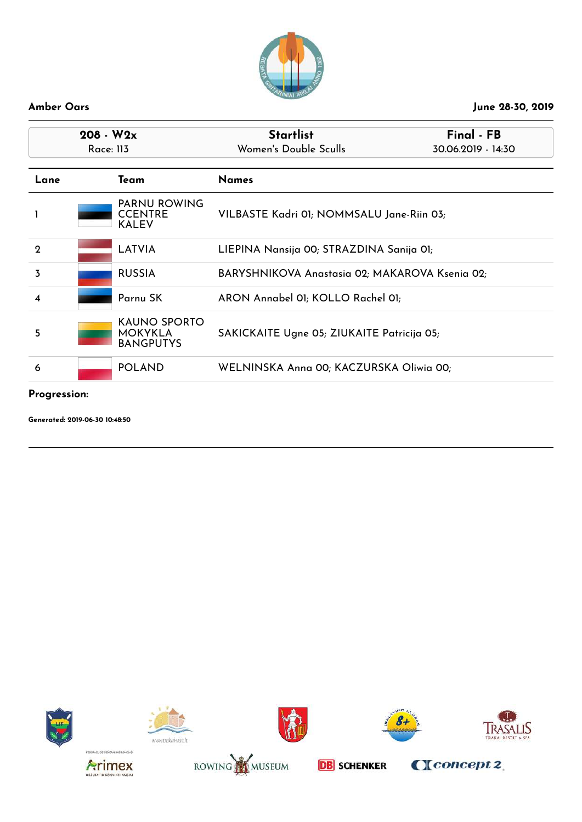

| $208 - W2x$  |                                                       |                                                           | <b>Startlist</b>                               | Final - FB |
|--------------|-------------------------------------------------------|-----------------------------------------------------------|------------------------------------------------|------------|
|              | Race: 113                                             |                                                           | Women's Double Sculls<br>30.06.2019 - 14:30    |            |
| Lane<br>Team |                                                       |                                                           | <b>Names</b>                                   |            |
|              | <b>PARNU ROWING</b><br><b>CCENTRE</b><br><b>KALEV</b> |                                                           | VILBASTE Kadri 01; NOMMSALU Jane-Riin 03;      |            |
| $\mathbf 2$  | <b>LATVIA</b>                                         |                                                           | LIEPINA Nansija 00; STRAZDINA Sanija 01;       |            |
| 3            | <b>RUSSIA</b>                                         |                                                           | BARYSHNIKOVA Anastasia 02; MAKAROVA Ksenia 02; |            |
| 4            |                                                       | Parnu SK                                                  | ARON Annabel 01; KOLLO Rachel 01;              |            |
| 5            |                                                       | <b>KAUNO SPORTO</b><br><b>MOKYKLA</b><br><b>BANGPUTYS</b> | SAKICKAITE Ugne 05; ZIUKAITE Patricija 05;     |            |
| 6            |                                                       | <b>POLAND</b>                                             | WELNINSKA Anna 00; KACZURSKA Oliwia 00;        |            |

### **Progression:**

**Generated: 2019-06-30 10:48:50**













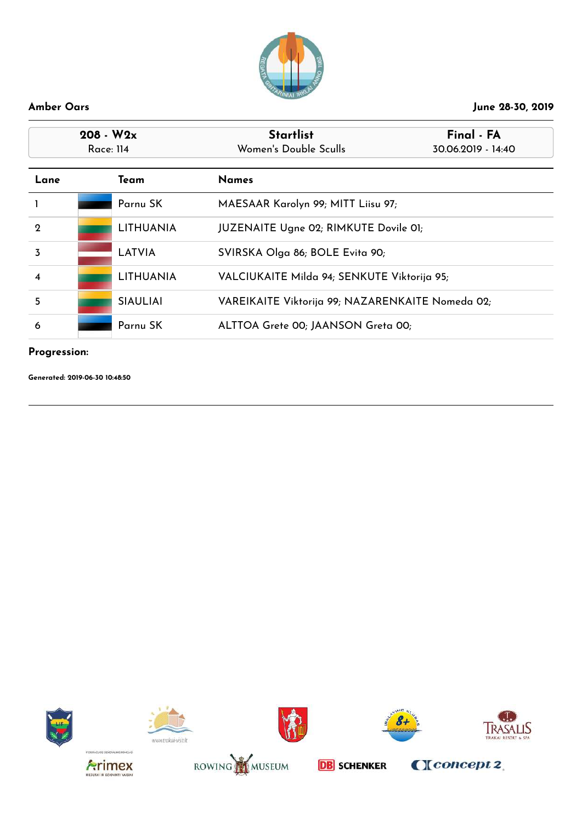

| $208 - W2x$<br>Race: 114<br>Lane<br>Team |  |                  | <b>Startlist</b><br>Women's Double Sculls        | Final - FA<br>30.06.2019 - 14:40 |
|------------------------------------------|--|------------------|--------------------------------------------------|----------------------------------|
|                                          |  |                  | <b>Names</b>                                     |                                  |
|                                          |  | Parnu SK         | MAESAAR Karolyn 99; MITT Liisu 97;               |                                  |
| $\mathbf 2$                              |  | <b>LITHUANIA</b> | JUZENAITE Ugne 02; RIMKUTE Dovile 01;            |                                  |
| 3                                        |  | <b>LATVIA</b>    | SVIRSKA Olga 86; BOLE Evita 90;                  |                                  |
| $\overline{\mathbf{4}}$                  |  | <b>LITHUANIA</b> | VALCIUKAITE Milda 94; SENKUTE Viktorija 95;      |                                  |
| 5                                        |  | <b>SIAULIAI</b>  | VAREIKAITE Viktorija 99; NAZARENKAITE Nomeda 02; |                                  |
| 6                                        |  | Parnu SK         | ALTTOA Grete 00; JAANSON Greta 00;               |                                  |

# **Progression:**

















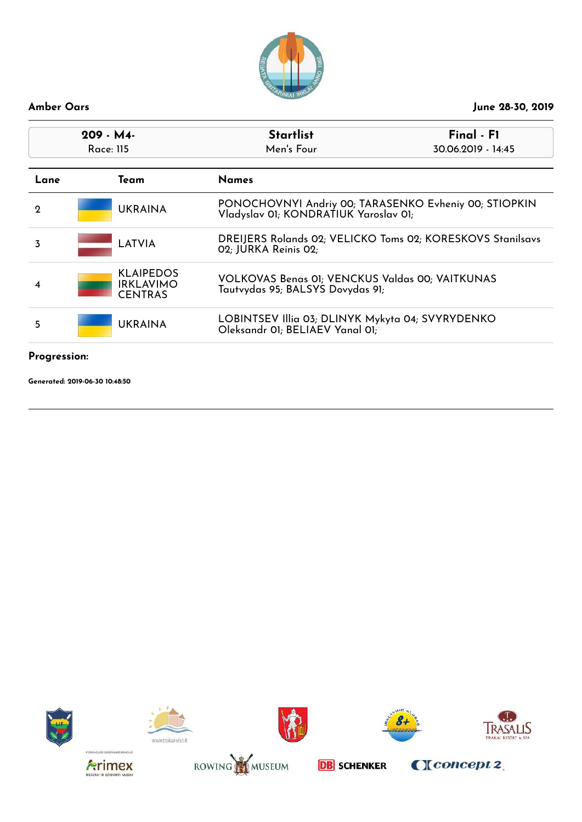

| 209 - M4-<br>Race: 115 |                                                        | <b>Startlist</b><br>Men's Four                                                                 | Final - F1<br>30.06.2019 - 14:45 |
|------------------------|--------------------------------------------------------|------------------------------------------------------------------------------------------------|----------------------------------|
| Lane                   | Team                                                   | <b>Names</b>                                                                                   |                                  |
| $\mathbf{Q}$           | <b>UKRAINA</b>                                         | PONOCHOVNYI Andriy 00; TARASENKO Evheniy 00; STIOPKIN<br>Vladyslav OI; KONDRATIUK Yaroslav OI; |                                  |
| 3                      | LATVIA                                                 | DREIJERS Rolands 02; VELICKO Toms 02; KORESKOVS Stanilsavs<br>02; JURKA Reinis 02;             |                                  |
| 4                      | <b>KLAIPEDOS</b><br><b>IRKLAVIMO</b><br><b>CENTRAS</b> | <b>VOLKOVAS Benas 01; VENCKUS Valdas 00; VAITKUNAS</b><br>Tautvydas 95; BALSYS Dovydas 91;     |                                  |
| 5                      | <b>UKRAINA</b>                                         | LOBINTSEV Illia 03; DLINYK Mykyta 04; SVYRYDENKO<br>Oleksandr OI; BELIAEV Yanal OI;            |                                  |
|                        |                                                        |                                                                                                |                                  |

### **Progression:**















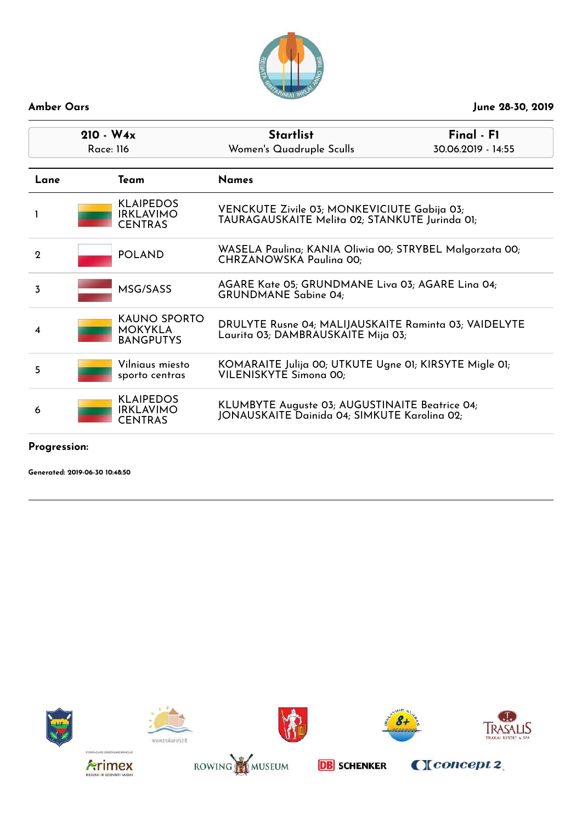

| $210 - W_4x$<br>Race: 116 |                                                           | <b>Startlist</b><br>Women's Quadruple Sculls                                                   | $Final - FI$<br>30.06.2019 - 14:55 |
|---------------------------|-----------------------------------------------------------|------------------------------------------------------------------------------------------------|------------------------------------|
| Lane                      | Team                                                      | <b>Names</b>                                                                                   |                                    |
| L                         | <b>KLAIPEDOS</b><br><b>IRKLAVIMO</b><br><b>CENTRAS</b>    | VENCKUTE Zivile 03; MONKEVICIUTE Gabija 03;<br>TAURAGAUSKAITE Melita 02; STANKUTE Jurinda 01;  |                                    |
| $\mathbf 2$               | <b>POLAND</b>                                             | WASELA Paulina; KANIA Oliwia 00; STRYBEL Malgorzata 00;<br>CHRZANOWSKA Paulina 00;             |                                    |
| 3                         | MSG/SASS                                                  | AGARE Kate 05; GRUNDMANE Liva 03; AGARE Lina 04;<br><b>GRUNDMANE Sabine 04;</b>                |                                    |
| 4                         | <b>KAUNO SPORTO</b><br><b>MOKYKLA</b><br><b>BANGPUTYS</b> | DRULYTE Rusne 04; MALIJAUSKAITE Raminta 03; VAIDELYTE<br>Laurita 03; DAMBRAUSKAITE Mija 03;    |                                    |
| 5                         | Vilniaus miesto<br>sporto centras                         | KOMARAITE Julija 00; UTKUTE Ugne 01; KIRSYTE Migle 01;<br>VILENISKYTE Simona 00;               |                                    |
| 6                         | <b>KLAIPEDOS</b><br><b>IRKLAVIMO</b><br><b>CENTRAS</b>    | KLUMBYTE Auguste 03; AUGUSTINAITE Beatrice 04;<br>JONAUSKAITE Dainida 04; SIMKUTE Karolina 02; |                                    |

# **Progression:**

**Generated: 2019-06-30 10:48:50**













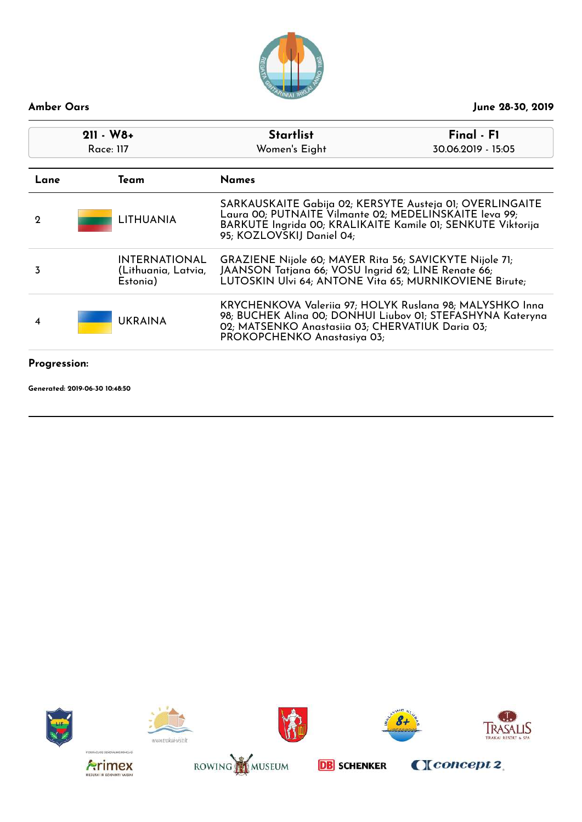

| $211 - W8+$<br>Race: 117 |                                                         | <b>Startlist</b>                                                                                                                                                                                               | Final - F1         |
|--------------------------|---------------------------------------------------------|----------------------------------------------------------------------------------------------------------------------------------------------------------------------------------------------------------------|--------------------|
|                          |                                                         | Women's Eight                                                                                                                                                                                                  | 30.06.2019 - 15:05 |
| Lane                     | Team                                                    | <b>Names</b>                                                                                                                                                                                                   |                    |
| 2                        | <b>LITHUANIA</b>                                        | SARKAUSKAITE Gabija 02; KERSYTE Austeja 01; OVERLINGAITE<br>Laura 00; PUTNAITE Vilmante 02; MEDELINSKAITE leva 99;<br>BARKUTE Ingrida 00; KRALIKAITE Kamile 01; SENKUTE Viktorija<br>95; KOZLOVSKIJ Daniel 04; |                    |
| 3                        | <b>INTERNATIONAL</b><br>(Lithuania, Latvia,<br>Estonia) | GRAZIENE Nijole 60; MAYER Rita 56; SAVICKYTE Nijole 71;<br>JAANSON Tatjana 66; VOSU Ingrid 62; LINE Renate 66;<br>LUTOSKIN Ulvi 64; ANTONE Vita 65; MURNIKOVIENE Birute;                                       |                    |
| 4                        | <b>UKRAINA</b>                                          | KRYCHENKOVA Valeriia 97; HOLYK Ruslana 98; MALYSHKO Inna<br>98; BUCHEK Alina 00; DONHUI Liubov 01; STEFASHYNA Kateryna<br>02; MATSENKO Anastasiia 03; CHERVATIUK Daria 03;<br>PROKOPCHENKO Anastasiya 03;      |                    |
| Progression:             |                                                         |                                                                                                                                                                                                                |                    |

















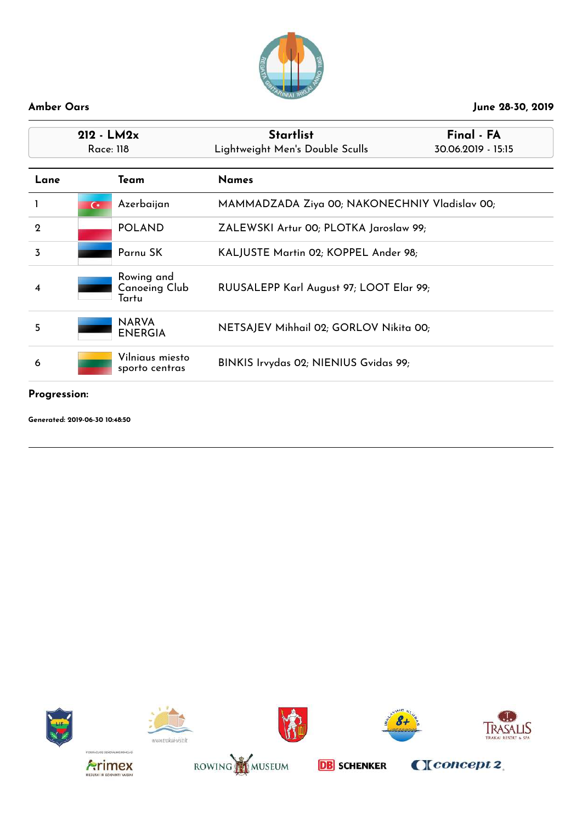

| $212 - LM2x$<br>Race: 118 |                |                                             | <b>Startlist</b><br>Lightweight Men's Double Sculls | Final - FA<br>30.06.2019 - 15:15 |
|---------------------------|----------------|---------------------------------------------|-----------------------------------------------------|----------------------------------|
| Lane                      |                | Team                                        | <b>Names</b>                                        |                                  |
|                           | $\overline{C}$ | Azerbaijan                                  | MAMMADZADA Ziya 00; NAKONECHNIY Vladislav 00;       |                                  |
| $\mathbf 2$               |                | <b>POLAND</b>                               | ZALEWSKI Artur 00; PLOTKA Jaroslaw 99;              |                                  |
| 3                         |                | Parnu SK                                    | KALJUSTE Martin 02; KOPPEL Ander 98;                |                                  |
| 4                         |                | Rowing and<br><b>Canoeing Club</b><br>Tartu | RUUSALEPP Karl August 97; LOOT Elar 99;             |                                  |
| 5                         |                | <b>NARVA</b><br><b>ENERGIA</b>              | NETSAJEV Mihhail 02; GORLOV Nikita 00;              |                                  |
| 6                         |                | Vilniaus miesto<br>sporto centras           | BINKIS Irvydas 02; NIENIUS Gvidas 99;               |                                  |

# **Progression:**















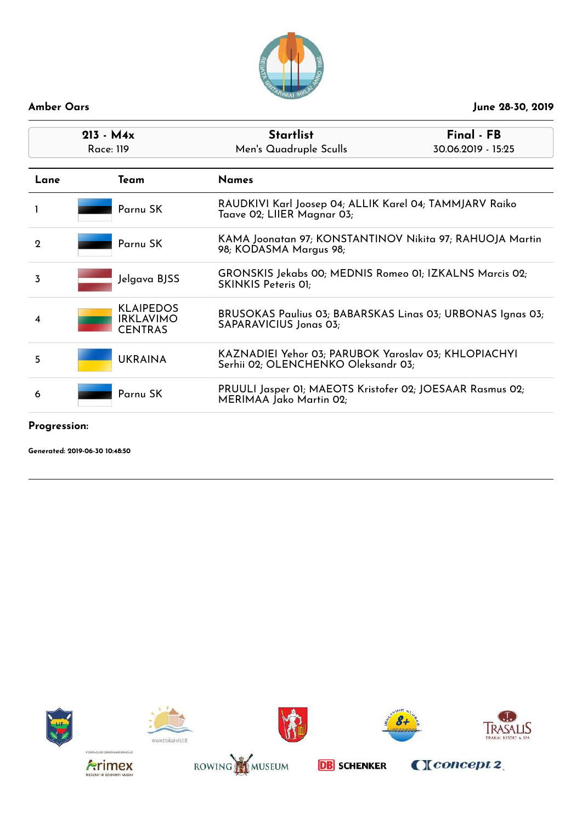

| $213 - M4x$<br>Race: 119 |                                                        | <b>Startlist</b><br>Men's Quadruple Sculls                                                  | Final - FB<br>30.06.2019 - 15:25 |
|--------------------------|--------------------------------------------------------|---------------------------------------------------------------------------------------------|----------------------------------|
| Lane                     | Team                                                   | <b>Names</b>                                                                                |                                  |
|                          | Parnu SK                                               | RAUDKIVI Karl Joosep 04; ALLIK Karel 04; TAMMJARV Raiko<br>Taave 02; LIIER Magnar 03;       |                                  |
| $\mathbf 2$              | Parnu SK                                               | KAMA Joonatan 97; KONSTANTINOV Nikita 97; RAHUOJA Martin<br>98; KODASMA Margus 98;          |                                  |
| 3                        | Jelgava BJSS                                           | GRONSKIS Jekabs 00; MEDNIS Romeo 01; IZKALNS Marcis 02;<br>SKINKIS Peteris 01;              |                                  |
| 4                        | <b>KLAIPEDOS</b><br><b>IRKLAVIMO</b><br><b>CENTRAS</b> | BRUSOKAS Paulius 03; BABARSKAS Linas 03; URBONAS Ignas 03;<br>SAPARAVICIUS Jonas 03;        |                                  |
| 5                        | <b>UKRAINA</b>                                         | KAZNADIEI Yehor 03; PARUBOK Yaroslav 03; KHLOPIACHYI<br>Serhii 02; OLENCHENKO Oleksandr 03; |                                  |
| 6                        | Parnu SK                                               | PRUULI Jasper 01; MAEOTS Kristofer 02; JOESAAR Rasmus 02;<br>MERIMAA Jako Martin 02;        |                                  |

**Progression:**

**Generated: 2019-06-30 10:48:50**













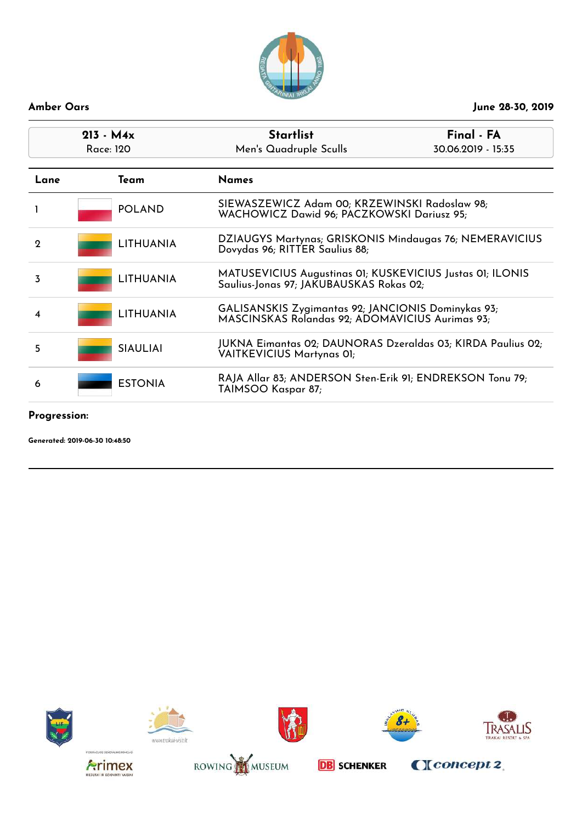

| $213 - M4x$<br>Race: 120 | <b>Startlist</b><br>Final - FA<br>Men's Quadruple Sculls<br>30.06.2019 - 15:35                        |  |
|--------------------------|-------------------------------------------------------------------------------------------------------|--|
| Team                     | <b>Names</b>                                                                                          |  |
| <b>POLAND</b>            | SIEWASZEWICZ Adam 00; KRZEWINSKI Radoslaw 98;<br>WACHOWICZ Dawid 96; PACZKOWSKI Dariusz 95;           |  |
| <b>LITHUANIA</b>         | DZIAUGYS Martynas; GRISKONIS Mindaugas 76; NEMERAVICIUS<br>Dovydas 96; RITTER Saulius 88;             |  |
| <b>LITHUANIA</b>         | MATUSEVICIUS Augustinas 01; KUSKEVICIUS Justas 01; ILONIS<br>Saulius-Jonas 97; JAKUBAUSKAS Rokas 02;  |  |
| LITHUANIA                | GALISANSKIS Zygimantas 92; JANCIONIS Dominykas 93;<br>MASCINSKAS Rolandas 92; ADOMAVICIUS Aurimas 93; |  |
| <b>SIAULIAI</b>          | JUKNA Eimantas 02; DAUNORAS Dzeraldas 03; KIRDA Paulius 02;<br><b>VAITKEVICIUS Martynas 01;</b>       |  |
| <b>ESTONIA</b>           | RAJA Allar 83; ANDERSON Sten-Erik 91; ENDREKSON Tonu 79;<br>TAIMSOO Kaspar 87;                        |  |
|                          |                                                                                                       |  |

# **Progression:**

**Generated: 2019-06-30 10:48:50**













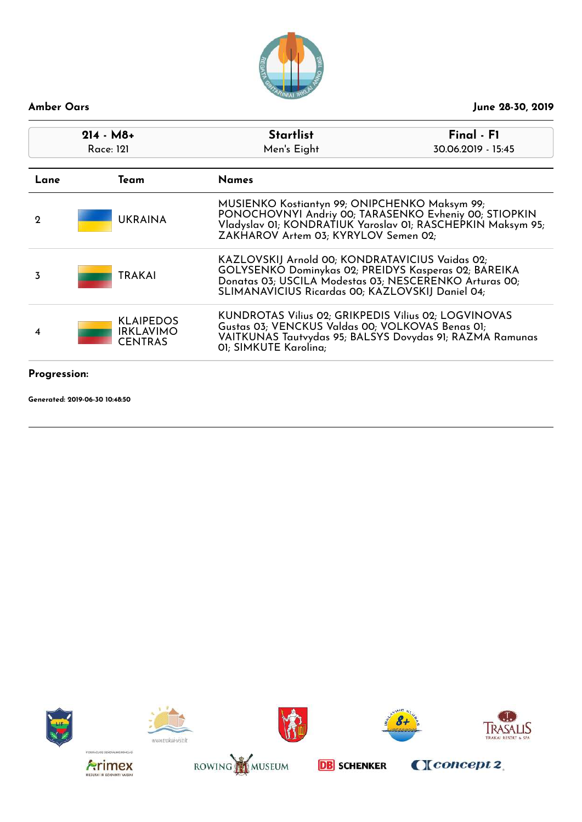

| $214 - M8+$<br>Race: 121<br>Lane<br>Team |                                                        | <b>Startlist</b><br>Men's Eight                                                                                                                                                                                       | Final - F1<br>30.06.2019 - 15:45                            |
|------------------------------------------|--------------------------------------------------------|-----------------------------------------------------------------------------------------------------------------------------------------------------------------------------------------------------------------------|-------------------------------------------------------------|
|                                          |                                                        | <b>Names</b>                                                                                                                                                                                                          |                                                             |
| $\mathbf 2$                              | <b>UKRAINA</b>                                         | MUSIENKO Kostiantyn 99; ONIPCHENKO Maksym 99;<br>PONOCHOVNYI Andriy 00; TARASENKO Evheniy 00; STIOPKIN<br>ZAKHAROV Artem 03; KYRYLOV Semen 02;                                                                        | Vladyslav 01; KONDRATIUK Yaroslav 01; RASCHEPKIN Maksym 95; |
| 3                                        | <b>TRAKAI</b>                                          | KAZLOVSKIJ Arnold 00; KONDRATAVICIUS Vaidas 02;<br>GOLYSENKO Dominykas 02; PREIDYS Kasperas 02; BAREIKA<br>Donatas 03; USCILA Modestas 03; NESCERENKO Arturas 00;<br>SLIMANAVICIUS Ricardas 00; KAZLOVSKIJ Daniel 04; |                                                             |
| 4                                        | <b>KLAIPEDOS</b><br><b>IRKLAVIMO</b><br><b>CENTRAS</b> | KUNDROTAS Vilius 02; GRIKPEDIS Vilius 02; LOGVINOVAS<br>Gustas 03; VENCKUS Valdas 00; VOLKOVAS Benas 01;<br>VAITKUNAS Tautvydas 95; BALSYS Dovydas 91; RAZMA Ramunas<br>01; SIMKUTE Karolina;                         |                                                             |
| Progression:                             |                                                        |                                                                                                                                                                                                                       |                                                             |















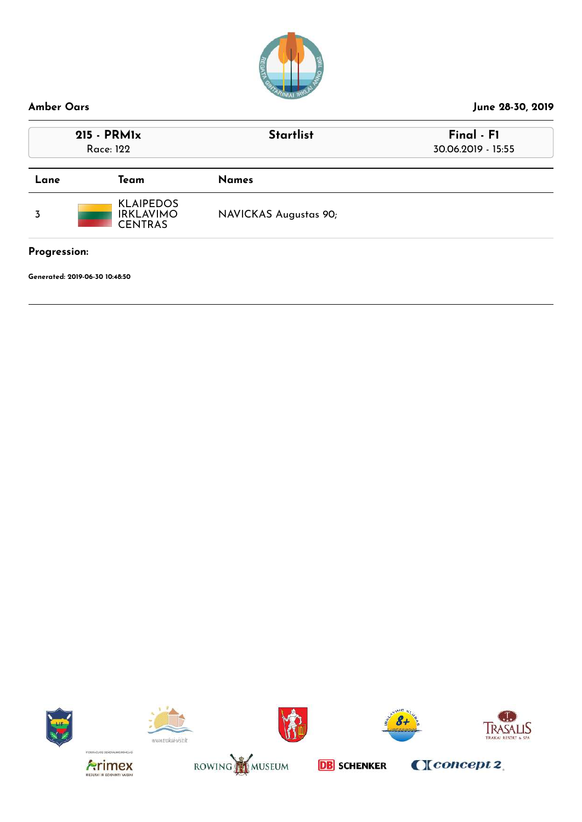

# **Amber Oars June 28-30, 2019 215 - PRM1x Startlist Final - F1** Race: 122 30.06.2019 - 15:55 **Lane Team Names** 3 KLAIPEDOS IRKLAVIMO CENTRAS NAVICKAS Augustas 90;

**Progression:**

**Generated: 2019-06-30 10:48:50**















**DB** SCHENKER